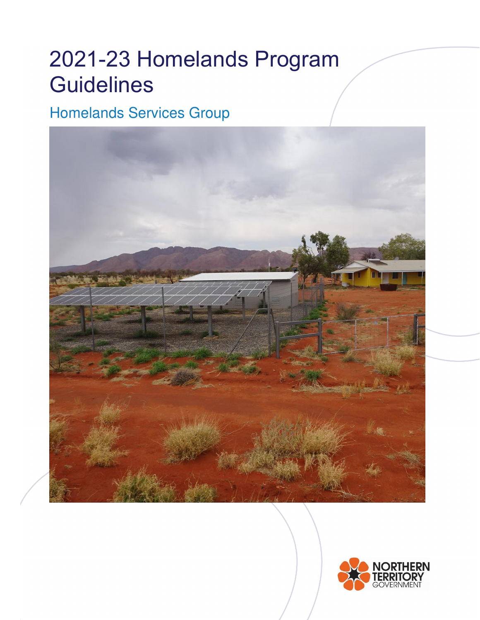# 2021-23 Homelands Program **Guidelines**

## Homelands Services Group



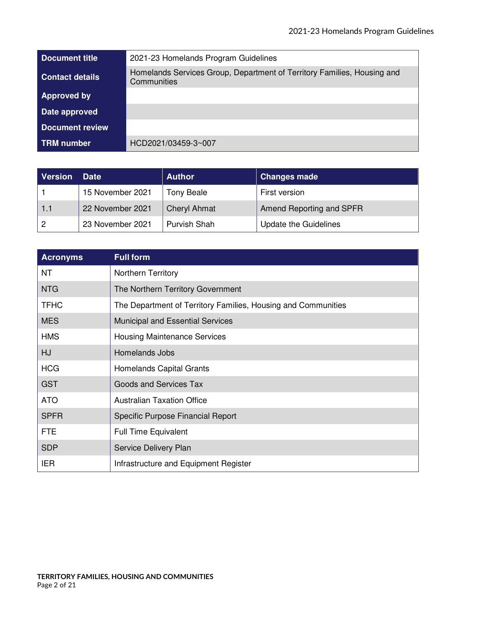| Document title         | 2021-23 Homelands Program Guidelines                                                   |
|------------------------|----------------------------------------------------------------------------------------|
| <b>Contact details</b> | Homelands Services Group, Department of Territory Families, Housing and<br>Communities |
| Approved by            |                                                                                        |
| Date approved          |                                                                                        |
| <b>Document review</b> |                                                                                        |
| <b>TRM</b> number      | HCD2021/03459-3~007                                                                    |

| <b>Version</b> | <b>Date</b>      | <b>Author</b>       | <b>Changes made</b>          |
|----------------|------------------|---------------------|------------------------------|
|                | 15 November 2021 | <b>Tony Beale</b>   | First version                |
| 1.1            | 22 November 2021 | <b>Cheryl Ahmat</b> | Amend Reporting and SPFR     |
|                | 23 November 2021 | Purvish Shah        | <b>Update the Guidelines</b> |

| <b>Acronyms</b> | <b>Full form</b>                                              |
|-----------------|---------------------------------------------------------------|
| <b>NT</b>       | <b>Northern Territory</b>                                     |
| <b>NTG</b>      | The Northern Territory Government                             |
| <b>TFHC</b>     | The Department of Territory Families, Housing and Communities |
| <b>MES</b>      | <b>Municipal and Essential Services</b>                       |
| <b>HMS</b>      | <b>Housing Maintenance Services</b>                           |
| <b>HJ</b>       | Homelands Jobs                                                |
| <b>HCG</b>      | <b>Homelands Capital Grants</b>                               |
| <b>GST</b>      | Goods and Services Tax                                        |
| <b>ATO</b>      | <b>Australian Taxation Office</b>                             |
| <b>SPFR</b>     | Specific Purpose Financial Report                             |
| <b>FTE</b>      | <b>Full Time Equivalent</b>                                   |
| <b>SDP</b>      | Service Delivery Plan                                         |
| <b>IER</b>      | Infrastructure and Equipment Register                         |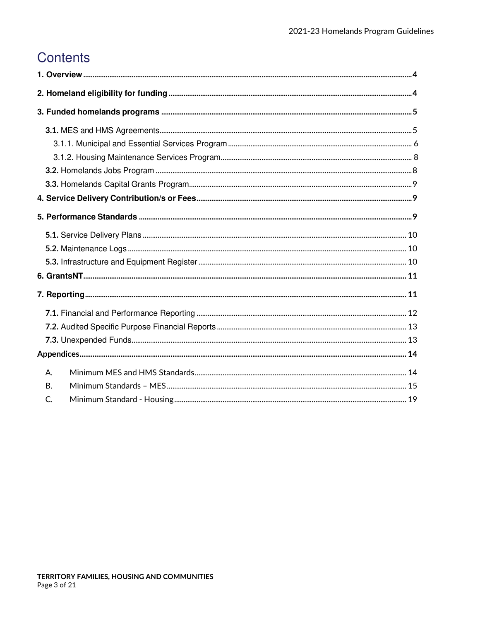## **Contents**

| Α.        |  |  |
|-----------|--|--|
| <b>B.</b> |  |  |
| C.        |  |  |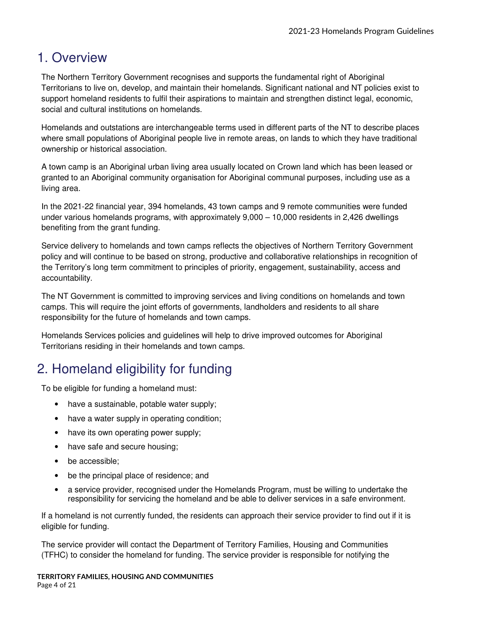## 1. Overview

The Northern Territory Government recognises and supports the fundamental right of Aboriginal Territorians to live on, develop, and maintain their homelands. Significant national and NT policies exist to support homeland residents to fulfil their aspirations to maintain and strengthen distinct legal, economic, social and cultural institutions on homelands.

Homelands and outstations are interchangeable terms used in different parts of the NT to describe places where small populations of Aboriginal people live in remote areas, on lands to which they have traditional ownership or historical association.

A town camp is an Aboriginal urban living area usually located on Crown land which has been leased or granted to an Aboriginal community organisation for Aboriginal communal purposes, including use as a living area.

In the 2021-22 financial year, 394 homelands, 43 town camps and 9 remote communities were funded under various homelands programs, with approximately 9,000 – 10,000 residents in 2,426 dwellings benefiting from the grant funding.

Service delivery to homelands and town camps reflects the objectives of Northern Territory Government policy and will continue to be based on strong, productive and collaborative relationships in recognition of the Territory's long term commitment to principles of priority, engagement, sustainability, access and accountability.

The NT Government is committed to improving services and living conditions on homelands and town camps. This will require the joint efforts of governments, landholders and residents to all share responsibility for the future of homelands and town camps.

Homelands Services policies and guidelines will help to drive improved outcomes for Aboriginal Territorians residing in their homelands and town camps.

## 2. Homeland eligibility for funding

To be eligible for funding a homeland must:

- have a sustainable, potable water supply;
- have a water supply in operating condition;
- have its own operating power supply;
- have safe and secure housing;
- be accessible:
- be the principal place of residence; and
- a service provider, recognised under the Homelands Program, must be willing to undertake the responsibility for servicing the homeland and be able to deliver services in a safe environment.

If a homeland is not currently funded, the residents can approach their service provider to find out if it is eligible for funding.

The service provider will contact the Department of Territory Families, Housing and Communities (TFHC) to consider the homeland for funding. The service provider is responsible for notifying the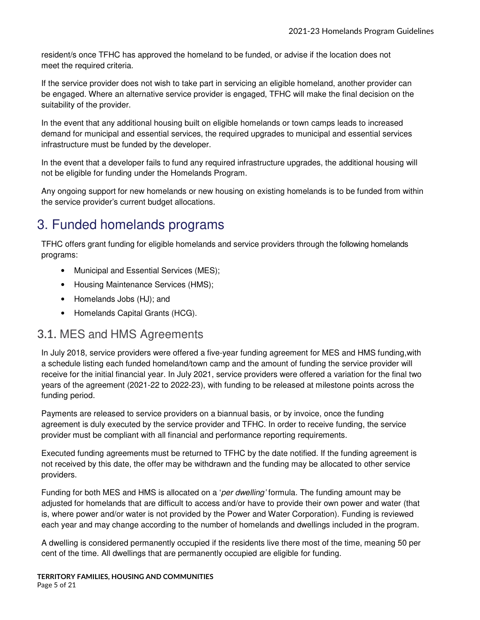resident/s once TFHC has approved the homeland to be funded, or advise if the location does not meet the required criteria.

If the service provider does not wish to take part in servicing an eligible homeland, another provider can be engaged. Where an alternative service provider is engaged, TFHC will make the final decision on the suitability of the provider.

In the event that any additional housing built on eligible homelands or town camps leads to increased demand for municipal and essential services, the required upgrades to municipal and essential services infrastructure must be funded by the developer.

In the event that a developer fails to fund any required infrastructure upgrades, the additional housing will not be eligible for funding under the Homelands Program.

Any ongoing support for new homelands or new housing on existing homelands is to be funded from within the service provider's current budget allocations.

## 3. Funded homelands programs

TFHC offers grant funding for eligible homelands and service providers through the following homelands programs:

- Municipal and Essential Services (MES);
- Housing Maintenance Services (HMS);
- Homelands Jobs (HJ); and
- Homelands Capital Grants (HCG).

### **3.1.** MES and HMS Agreements

In July 2018, service providers were offered a five-year funding agreement for MES and HMS funding, with a schedule listing each funded homeland/town camp and the amount of funding the service provider will receive for the initial financial year. In July 2021, service providers were offered a variation for the final two years of the agreement (2021-22 to 2022-23), with funding to be released at milestone points across the funding period.

Payments are released to service providers on a biannual basis, or by invoice, once the funding agreement is duly executed by the service provider and TFHC. In order to receive funding, the service provider must be compliant with all financial and performance reporting requirements.

Executed funding agreements must be returned to TFHC by the date notified. If the funding agreement is not received by this date, the offer may be withdrawn and the funding may be allocated to other service providers.

Funding for both MES and HMS is allocated on a 'per dwelling' formula. The funding amount may be adjusted for homelands that are difficult to access and/or have to provide their own power and water (that is, where power and/or water is not provided by the Power and Water Corporation). Funding is reviewed each year and may change according to the number of homelands and dwellings included in the program.

A dwelling is considered permanently occupied if the residents live there most of the time, meaning 50 per cent of the time. All dwellings that are permanently occupied are eligible for funding.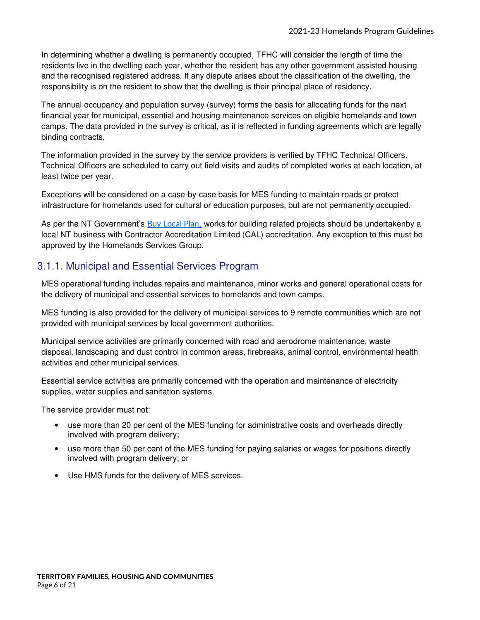In determining whether a dwelling is permanently occupied, TFHC will consider the length of time the residents live in the dwelling each year, whether the resident has any other government assisted housing and the recognised registered address. If any dispute arises about the classification of the dwelling, the responsibility is on the resident to show that the dwelling is their principal place of residency.

The annual occupancy and population survey (survey) forms the basis for allocating funds for the next financial year for municipal, essential and housing maintenance services on eligible homelands and town camps. The data provided in the survey is critical, as it is reflected in funding agreements which are legally binding contracts.

The information provided in the survey by the service providers is verified by TFHC Technical Officers. Technical Officers are scheduled to carry out field visits and audits of completed works at each location, at least twice per year.

Exceptions will be considered on a case-by-case basis for MES funding to maintain roads or protect infrastructure for homelands used for cultural or education purposes, but are not permanently occupied.

As per the NT Government's **Buy Local Plan**, works for building related projects should be undertakenby a local NT business with Contractor Accreditation Limited (CAL) accreditation. Any exception to this must be approved by the Homelands Services Group.

### 3.1.1. Municipal and Essential Services Program

MES operational funding includes repairs and maintenance, minor works and general operational costs for the delivery of municipal and essential services to homelands and town camps.

MES funding is also provided for the delivery of municipal services to 9 remote communities which are not provided with municipal services by local government authorities.

Municipal service activities are primarily concerned with road and aerodrome maintenance, waste disposal, landscaping and dust control in common areas, firebreaks, animal control, environmental health activities and other municipal services.

Essential service activities are primarily concerned with the operation and maintenance of electricity supplies, water supplies and sanitation systems.

The service provider must not:

- use more than 20 per cent of the MES funding for administrative costs and overheads directly involved with program delivery;
- use more than 50 per cent of the MES funding for paying salaries or wages for positions directly involved with program delivery; or
- Use HMS funds for the delivery of MES services.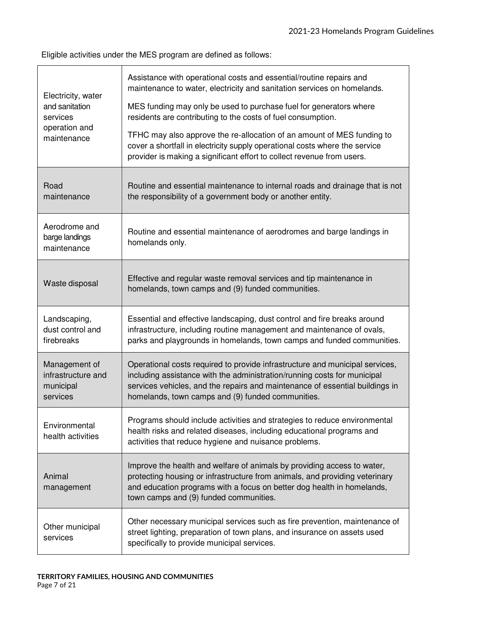Eligible activities under the MES program are defined as follows:

| Electricity, water<br>and sanitation<br>services<br>operation and<br>maintenance | Assistance with operational costs and essential/routine repairs and<br>maintenance to water, electricity and sanitation services on homelands.<br>MES funding may only be used to purchase fuel for generators where<br>residents are contributing to the costs of fuel consumption.<br>TFHC may also approve the re-allocation of an amount of MES funding to<br>cover a shortfall in electricity supply operational costs where the service<br>provider is making a significant effort to collect revenue from users. |
|----------------------------------------------------------------------------------|-------------------------------------------------------------------------------------------------------------------------------------------------------------------------------------------------------------------------------------------------------------------------------------------------------------------------------------------------------------------------------------------------------------------------------------------------------------------------------------------------------------------------|
| Road<br>maintenance                                                              | Routine and essential maintenance to internal roads and drainage that is not<br>the responsibility of a government body or another entity.                                                                                                                                                                                                                                                                                                                                                                              |
| Aerodrome and<br>barge landings<br>maintenance                                   | Routine and essential maintenance of aerodromes and barge landings in<br>homelands only.                                                                                                                                                                                                                                                                                                                                                                                                                                |
| Waste disposal                                                                   | Effective and regular waste removal services and tip maintenance in<br>homelands, town camps and (9) funded communities.                                                                                                                                                                                                                                                                                                                                                                                                |
| Landscaping,<br>dust control and<br>firebreaks                                   | Essential and effective landscaping, dust control and fire breaks around<br>infrastructure, including routine management and maintenance of ovals,<br>parks and playgrounds in homelands, town camps and funded communities.                                                                                                                                                                                                                                                                                            |
| Management of<br>infrastructure and<br>municipal<br>services                     | Operational costs required to provide infrastructure and municipal services,<br>including assistance with the administration/running costs for municipal<br>services vehicles, and the repairs and maintenance of essential buildings in<br>homelands, town camps and (9) funded communities.                                                                                                                                                                                                                           |
| Environmental<br>health activities                                               | Programs should include activities and strategies to reduce environmental<br>health risks and related diseases, including educational programs and<br>activities that reduce hygiene and nuisance problems.                                                                                                                                                                                                                                                                                                             |
| Animal<br>management                                                             | Improve the health and welfare of animals by providing access to water,<br>protecting housing or infrastructure from animals, and providing veterinary<br>and education programs with a focus on better dog health in homelands,<br>town camps and (9) funded communities.                                                                                                                                                                                                                                              |
| Other municipal<br>services                                                      | Other necessary municipal services such as fire prevention, maintenance of<br>street lighting, preparation of town plans, and insurance on assets used<br>specifically to provide municipal services.                                                                                                                                                                                                                                                                                                                   |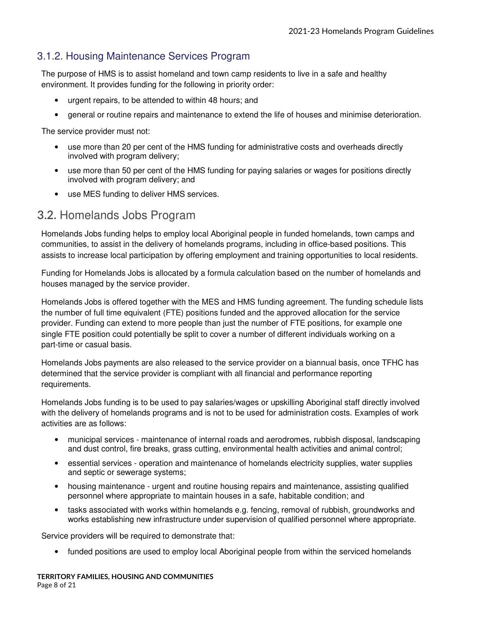### 3.1.2. Housing Maintenance Services Program

The purpose of HMS is to assist homeland and town camp residents to live in a safe and healthy environment. It provides funding for the following in priority order:

- urgent repairs, to be attended to within 48 hours; and
- general or routine repairs and maintenance to extend the life of houses and minimise deterioration.

The service provider must not:

- use more than 20 per cent of the HMS funding for administrative costs and overheads directly involved with program delivery;
- use more than 50 per cent of the HMS funding for paying salaries or wages for positions directly involved with program delivery; and
- use MES funding to deliver HMS services.

### **3.2.** Homelands Jobs Program

Homelands Jobs funding helps to employ local Aboriginal people in funded homelands, town camps and communities, to assist in the delivery of homelands programs, including in office-based positions. This assists to increase local participation by offering employment and training opportunities to local residents.

Funding for Homelands Jobs is allocated by a formula calculation based on the number of homelands and houses managed by the service provider.

Homelands Jobs is offered together with the MES and HMS funding agreement. The funding schedule lists the number of full time equivalent (FTE) positions funded and the approved allocation for the service provider. Funding can extend to more people than just the number of FTE positions, for example one single FTE position could potentially be split to cover a number of different individuals working on a part-time or casual basis.

Homelands Jobs payments are also released to the service provider on a biannual basis, once TFHC has determined that the service provider is compliant with all financial and performance reporting requirements.

Homelands Jobs funding is to be used to pay salaries/wages or upskilling Aboriginal staff directly involved with the delivery of homelands programs and is not to be used for administration costs. Examples of work activities are as follows:

- municipal services maintenance of internal roads and aerodromes, rubbish disposal, landscaping and dust control, fire breaks, grass cutting, environmental health activities and animal control;
- essential services operation and maintenance of homelands electricity supplies, water supplies and septic or sewerage systems;
- housing maintenance urgent and routine housing repairs and maintenance, assisting qualified personnel where appropriate to maintain houses in a safe, habitable condition; and
- tasks associated with works within homelands e.g. fencing, removal of rubbish, groundworks and works establishing new infrastructure under supervision of qualified personnel where appropriate.

Service providers will be required to demonstrate that:

• funded positions are used to employ local Aboriginal people from within the serviced homelands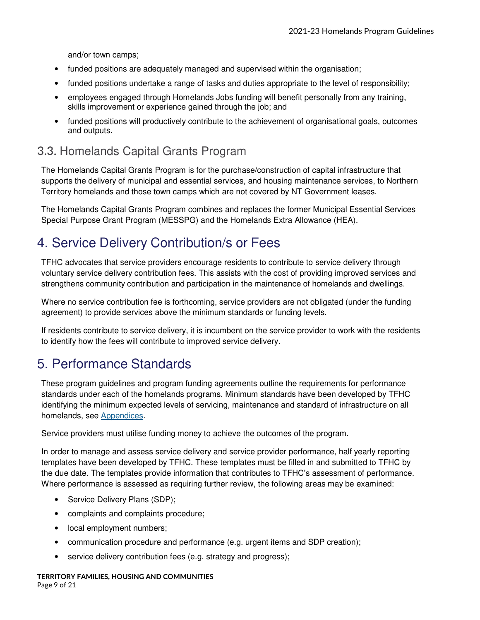and/or town camps;

- funded positions are adequately managed and supervised within the organisation;
- funded positions undertake a range of tasks and duties appropriate to the level of responsibility;
- employees engaged through Homelands Jobs funding will benefit personally from any training, skills improvement or experience gained through the job; and
- funded positions will productively contribute to the achievement of organisational goals, outcomes and outputs.

## **3.3.** Homelands Capital Grants Program

The Homelands Capital Grants Program is for the purchase/construction of capital infrastructure that supports the delivery of municipal and essential services, and housing maintenance services, to Northern Territory homelands and those town camps which are not covered by NT Government leases.

The Homelands Capital Grants Program combines and replaces the former Municipal Essential Services Special Purpose Grant Program (MESSPG) and the Homelands Extra Allowance (HEA).

## 4. Service Delivery Contribution/s or Fees

TFHC advocates that service providers encourage residents to contribute to service delivery through voluntary service delivery contribution fees. This assists with the cost of providing improved services and strengthens community contribution and participation in the maintenance of homelands and dwellings.

Where no service contribution fee is forthcoming, service providers are not obligated (under the funding agreement) to provide services above the minimum standards or funding levels.

If residents contribute to service delivery, it is incumbent on the service provider to work with the residents to identify how the fees will contribute to improved service delivery.

## 5. Performance Standards

These program guidelines and program funding agreements outline the requirements for performance standards under each of the homelands programs. Minimum standards have been developed by TFHC identifying the minimum expected levels of servicing, maintenance and standard of infrastructure on all homelands, see Appendices.

Service providers must utilise funding money to achieve the outcomes of the program.

In order to manage and assess service delivery and service provider performance, half yearly reporting templates have been developed by TFHC. These templates must be filled in and submitted to TFHC by the due date. The templates provide information that contributes to TFHC's assessment of performance. Where performance is assessed as requiring further review, the following areas may be examined:

- Service Delivery Plans (SDP);
- complaints and complaints procedure;
- local employment numbers;
- communication procedure and performance (e.g. urgent items and SDP creation);
- service delivery contribution fees (e.g. strategy and progress);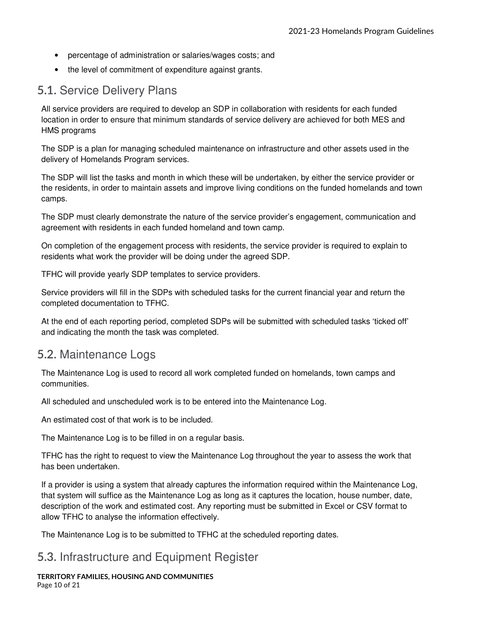- percentage of administration or salaries/wages costs; and
- the level of commitment of expenditure against grants.

## **5.1.** Service Delivery Plans

All service providers are required to develop an SDP in collaboration with residents for each funded location in order to ensure that minimum standards of service delivery are achieved for both MES and HMS programs

The SDP is a plan for managing scheduled maintenance on infrastructure and other assets used in the delivery of Homelands Program services.

The SDP will list the tasks and month in which these will be undertaken, by either the service provider or the residents, in order to maintain assets and improve living conditions on the funded homelands and town camps.

The SDP must clearly demonstrate the nature of the service provider's engagement, communication and agreement with residents in each funded homeland and town camp.

On completion of the engagement process with residents, the service provider is required to explain to residents what work the provider will be doing under the agreed SDP.

TFHC will provide yearly SDP templates to service providers.

Service providers will fill in the SDPs with scheduled tasks for the current financial year and return the completed documentation to TFHC.

At the end of each reporting period, completed SDPs will be submitted with scheduled tasks 'ticked off' and indicating the month the task was completed.

### **5.2.** Maintenance Logs

The Maintenance Log is used to record all work completed funded on homelands, town camps and communities.

All scheduled and unscheduled work is to be entered into the Maintenance Log.

An estimated cost of that work is to be included.

The Maintenance Log is to be filled in on a regular basis.

TFHC has the right to request to view the Maintenance Log throughout the year to assess the work that has been undertaken.

If a provider is using a system that already captures the information required within the Maintenance Log, that system will suffice as the Maintenance Log as long as it captures the location, house number, date, description of the work and estimated cost. Any reporting must be submitted in Excel or CSV format to allow TFHC to analyse the information effectively.

The Maintenance Log is to be submitted to TFHC at the scheduled reporting dates.

### **5.3.** Infrastructure and Equipment Register

**TERRITORY FAMILIES, HOUSING AND COMMUNITIES**  Page 10 of 21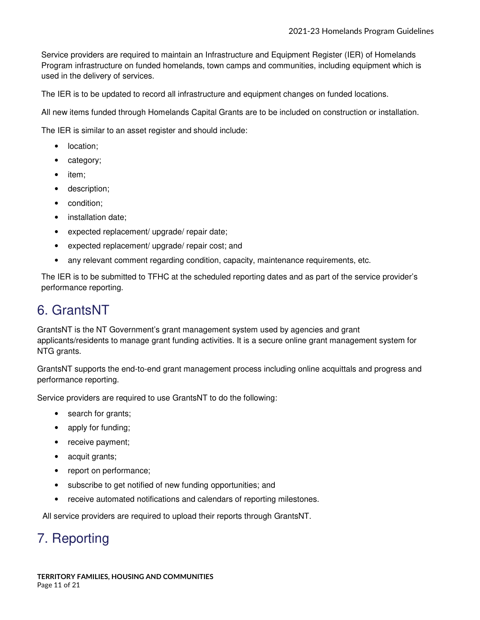Service providers are required to maintain an Infrastructure and Equipment Register (IER) of Homelands Program infrastructure on funded homelands, town camps and communities, including equipment which is used in the delivery of services.

The IER is to be updated to record all infrastructure and equipment changes on funded locations.

All new items funded through Homelands Capital Grants are to be included on construction or installation.

The IER is similar to an asset register and should include:

- location;
- category;
- item;
- description;
- condition;
- installation date:
- expected replacement/ upgrade/ repair date;
- expected replacement/ upgrade/ repair cost; and
- any relevant comment regarding condition, capacity, maintenance requirements, etc.

The IER is to be submitted to TFHC at the scheduled reporting dates and as part of the service provider's performance reporting.

## 6. GrantsNT

GrantsNT is the NT Government's grant management system used by agencies and grant applicants/residents to manage grant funding activities. It is a secure online grant management system for NTG grants.

GrantsNT supports the end-to-end grant management process including online acquittals and progress and performance reporting.

Service providers are required to use GrantsNT to do the following:

- search for grants;
- apply for funding;
- receive payment;
- acquit grants;
- report on performance;
- subscribe to get notified of new funding opportunities; and
- receive automated notifications and calendars of reporting milestones.

All service providers are required to upload their reports through GrantsNT.

## 7. Reporting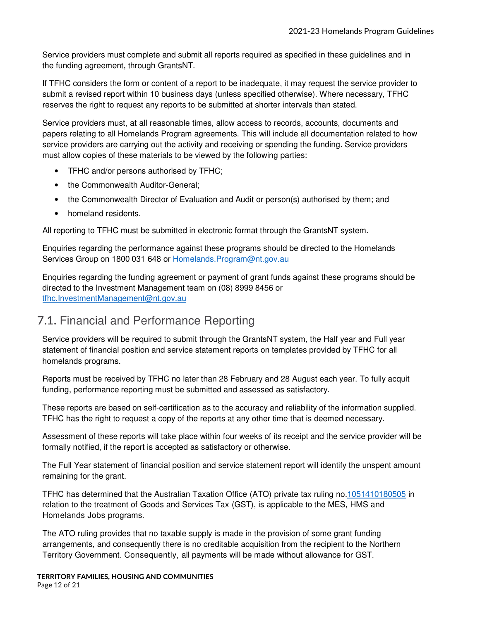Service providers must complete and submit all reports required as specified in these guidelines and in the funding agreement, through GrantsNT.

If TFHC considers the form or content of a report to be inadequate, it may request the service provider to submit a revised report within 10 business days (unless specified otherwise). Where necessary, TFHC reserves the right to request any reports to be submitted at shorter intervals than stated.

Service providers must, at all reasonable times, allow access to records, accounts, documents and papers relating to all Homelands Program agreements. This will include all documentation related to how service providers are carrying out the activity and receiving or spending the funding. Service providers must allow copies of these materials to be viewed by the following parties:

- TFHC and/or persons authorised by TFHC;
- the Commonwealth Auditor-General;
- the Commonwealth Director of Evaluation and Audit or person(s) authorised by them; and
- homeland residents.

All reporting to TFHC must be submitted in electronic format through the GrantsNT system.

Enquiries regarding the performance against these programs should be directed to the Homelands Services Group on 1800 031 648 or Homelands. Program@nt.gov.au

Enquiries regarding the funding agreement or payment of grant funds against these programs should be directed to the Investment Management team on (08) 8999 8456 or tfhc.InvestmentManagement@nt.gov.au

## **7.1.** Financial and Performance Reporting

Service providers will be required to submit through the GrantsNT system, the Half year and Full year statement of financial position and service statement reports on templates provided by TFHC for all homelands programs.

Reports must be received by TFHC no later than 28 February and 28 August each year. To fully acquit funding, performance reporting must be submitted and assessed as satisfactory.

These reports are based on self-certification as to the accuracy and reliability of the information supplied. TFHC has the right to request a copy of the reports at any other time that is deemed necessary.

Assessment of these reports will take place within four weeks of its receipt and the service provider will be formally notified, if the report is accepted as satisfactory or otherwise.

The Full Year statement of financial position and service statement report will identify the unspent amount remaining for the grant.

TFHC has determined that the Australian Taxation Office (ATO) private tax ruling no.1051410180505 in relation to the treatment of Goods and Services Tax (GST), is applicable to the MES, HMS and Homelands Jobs programs.

The ATO ruling provides that no taxable supply is made in the provision of some grant funding arrangements, and consequently there is no creditable acquisition from the recipient to the Northern Territory Government. Consequently, all payments will be made without allowance for GST.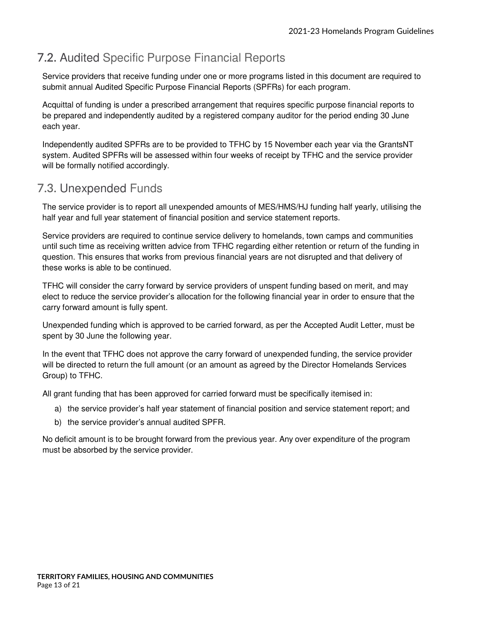## **7.2.** Audited Specific Purpose Financial Reports

Service providers that receive funding under one or more programs listed in this document are required to submit annual Audited Specific Purpose Financial Reports (SPFRs) for each program.

Acquittal of funding is under a prescribed arrangement that requires specific purpose financial reports to be prepared and independently audited by a registered company auditor for the period ending 30 June each year.

Independently audited SPFRs are to be provided to TFHC by 15 November each year via the GrantsNT system. Audited SPFRs will be assessed within four weeks of receipt by TFHC and the service provider will be formally notified accordingly.

## **7.3.** Unexpended Funds

The service provider is to report all unexpended amounts of MES/HMS/HJ funding half yearly, utilising the half year and full year statement of financial position and service statement reports.

Service providers are required to continue service delivery to homelands, town camps and communities until such time as receiving written advice from TFHC regarding either retention or return of the funding in question. This ensures that works from previous financial years are not disrupted and that delivery of these works is able to be continued.

TFHC will consider the carry forward by service providers of unspent funding based on merit, and may elect to reduce the service provider's allocation for the following financial year in order to ensure that the carry forward amount is fully spent.

Unexpended funding which is approved to be carried forward, as per the Accepted Audit Letter, must be spent by 30 June the following year.

In the event that TFHC does not approve the carry forward of unexpended funding, the service provider will be directed to return the full amount (or an amount as agreed by the Director Homelands Services Group) to TFHC.

All grant funding that has been approved for carried forward must be specifically itemised in:

- a) the service provider's half year statement of financial position and service statement report; and
- b) the service provider's annual audited SPFR.

No deficit amount is to be brought forward from the previous year. Any over expenditure of the program must be absorbed by the service provider.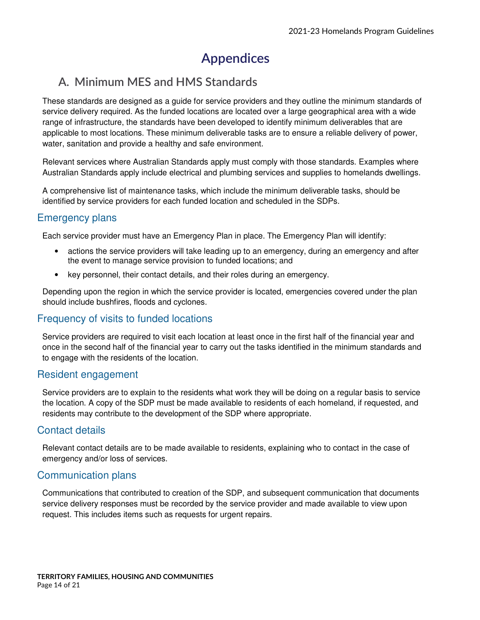## **Appendices**

## **A. Minimum MES and HMS Standards**

These standards are designed as a guide for service providers and they outline the minimum standards of service delivery required. As the funded locations are located over a large geographical area with a wide range of infrastructure, the standards have been developed to identify minimum deliverables that are applicable to most locations. These minimum deliverable tasks are to ensure a reliable delivery of power, water, sanitation and provide a healthy and safe environment.

Relevant services where Australian Standards apply must comply with those standards. Examples where Australian Standards apply include electrical and plumbing services and supplies to homelands dwellings.

A comprehensive list of maintenance tasks, which include the minimum deliverable tasks, should be identified by service providers for each funded location and scheduled in the SDPs.

### Emergency plans

Each service provider must have an Emergency Plan in place. The Emergency Plan will identify:

- actions the service providers will take leading up to an emergency, during an emergency and after the event to manage service provision to funded locations; and
- key personnel, their contact details, and their roles during an emergency.

Depending upon the region in which the service provider is located, emergencies covered under the plan should include bushfires, floods and cyclones.

### Frequency of visits to funded locations

Service providers are required to visit each location at least once in the first half of the financial year and once in the second half of the financial year to carry out the tasks identified in the minimum standards and to engage with the residents of the location.

### Resident engagement

Service providers are to explain to the residents what work they will be doing on a regular basis to service the location. A copy of the SDP must be made available to residents of each homeland, if requested, and residents may contribute to the development of the SDP where appropriate.

### Contact details

Relevant contact details are to be made available to residents, explaining who to contact in the case of emergency and/or loss of services.

### Communication plans

Communications that contributed to creation of the SDP, and subsequent communication that documents service delivery responses must be recorded by the service provider and made available to view upon request. This includes items such as requests for urgent repairs.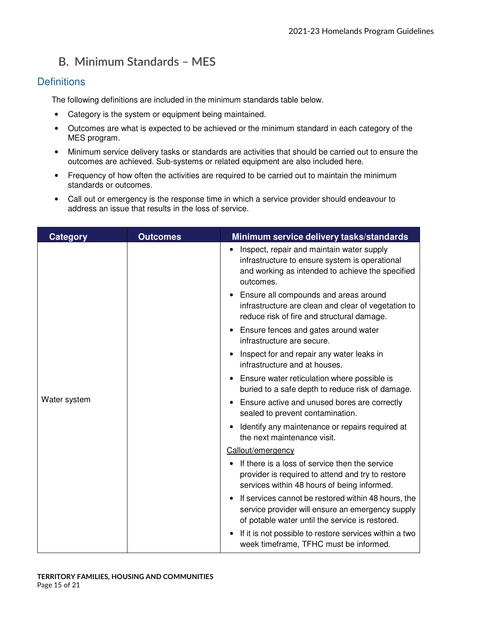## **B. Minimum Standards – MES**

### **Definitions**

The following definitions are included in the minimum standards table below.

- Category is the system or equipment being maintained.
- Outcomes are what is expected to be achieved or the minimum standard in each category of the MES program.
- Minimum service delivery tasks or standards are activities that should be carried out to ensure the outcomes are achieved. Sub-systems or related equipment are also included here.
- Frequency of how often the activities are required to be carried out to maintain the minimum standards or outcomes.
- Call out or emergency is the response time in which a service provider should endeavour to address an issue that results in the loss of service.

| <b>Category</b> | <b>Outcomes</b> | Minimum service delivery tasks/standards                                                                                                                                |
|-----------------|-----------------|-------------------------------------------------------------------------------------------------------------------------------------------------------------------------|
|                 |                 | Inspect, repair and maintain water supply<br>infrastructure to ensure system is operational<br>and working as intended to achieve the specified<br>outcomes.            |
|                 |                 | Ensure all compounds and areas around<br>infrastructure are clean and clear of vegetation to<br>reduce risk of fire and structural damage.                              |
|                 |                 | Ensure fences and gates around water<br>infrastructure are secure.                                                                                                      |
|                 |                 | Inspect for and repair any water leaks in<br>infrastructure and at houses.                                                                                              |
|                 |                 | Ensure water reticulation where possible is<br>$\bullet$<br>buried to a safe depth to reduce risk of damage.                                                            |
| Water system    |                 | Ensure active and unused bores are correctly<br>sealed to prevent contamination.                                                                                        |
|                 |                 | Identify any maintenance or repairs required at<br>the next maintenance visit.                                                                                          |
|                 |                 | Callout/emergency                                                                                                                                                       |
|                 |                 | If there is a loss of service then the service<br>provider is required to attend and try to restore<br>services within 48 hours of being informed.                      |
|                 |                 | If services cannot be restored within 48 hours, the<br>$\bullet$<br>service provider will ensure an emergency supply<br>of potable water until the service is restored. |
|                 |                 | If it is not possible to restore services within a two<br>week timeframe, TFHC must be informed.                                                                        |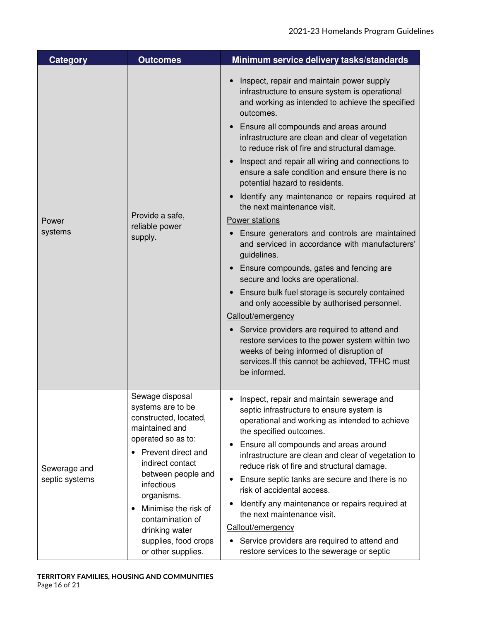| <b>Category</b>                | <b>Outcomes</b>                                                                                                                                                                                                                                                                                                                         | Minimum service delivery tasks/standards                                                                                                                                                                                                                                                                                                                                                                                                                                                                                                                                                                                                                                                                                                                                                                                                                                                                                                                                                                                                                                                            |
|--------------------------------|-----------------------------------------------------------------------------------------------------------------------------------------------------------------------------------------------------------------------------------------------------------------------------------------------------------------------------------------|-----------------------------------------------------------------------------------------------------------------------------------------------------------------------------------------------------------------------------------------------------------------------------------------------------------------------------------------------------------------------------------------------------------------------------------------------------------------------------------------------------------------------------------------------------------------------------------------------------------------------------------------------------------------------------------------------------------------------------------------------------------------------------------------------------------------------------------------------------------------------------------------------------------------------------------------------------------------------------------------------------------------------------------------------------------------------------------------------------|
| Power<br>systems               | Provide a safe,<br>reliable power<br>supply.                                                                                                                                                                                                                                                                                            | Inspect, repair and maintain power supply<br>infrastructure to ensure system is operational<br>and working as intended to achieve the specified<br>outcomes.<br>• Ensure all compounds and areas around<br>infrastructure are clean and clear of vegetation<br>to reduce risk of fire and structural damage.<br>Inspect and repair all wiring and connections to<br>ensure a safe condition and ensure there is no<br>potential hazard to residents.<br>Identify any maintenance or repairs required at<br>the next maintenance visit.<br>Power stations<br>Ensure generators and controls are maintained<br>and serviced in accordance with manufacturers'<br>guidelines.<br>Ensure compounds, gates and fencing are<br>secure and locks are operational.<br>Ensure bulk fuel storage is securely contained<br>and only accessible by authorised personnel.<br>Callout/emergency<br>Service providers are required to attend and<br>restore services to the power system within two<br>weeks of being informed of disruption of<br>services. If this cannot be achieved, TFHC must<br>be informed. |
| Sewerage and<br>septic systems | Sewage disposal<br>systems are to be<br>constructed, located,<br>maintained and<br>operated so as to:<br>Prevent direct and<br>$\bullet$<br>indirect contact<br>between people and<br>infectious<br>organisms.<br>Minimise the risk of<br>$\bullet$<br>contamination of<br>drinking water<br>supplies, food crops<br>or other supplies. | Inspect, repair and maintain sewerage and<br>septic infrastructure to ensure system is<br>operational and working as intended to achieve<br>the specified outcomes.<br>Ensure all compounds and areas around<br>infrastructure are clean and clear of vegetation to<br>reduce risk of fire and structural damage.<br>Ensure septic tanks are secure and there is no<br>٠<br>risk of accidental access.<br>Identify any maintenance or repairs required at<br>the next maintenance visit.<br>Callout/emergency<br>Service providers are required to attend and<br>restore services to the sewerage or septic                                                                                                                                                                                                                                                                                                                                                                                                                                                                                         |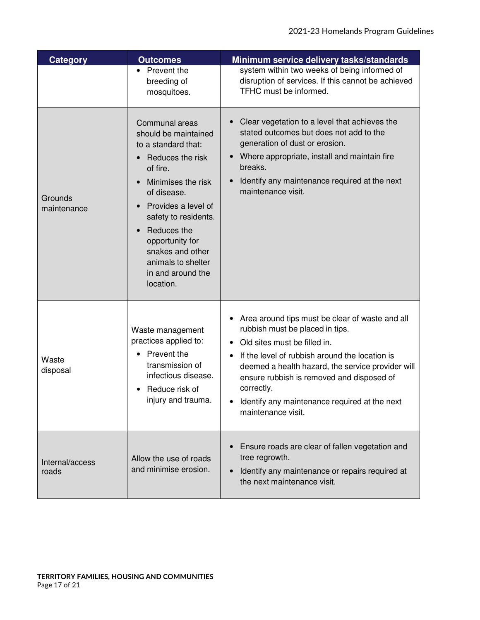| Category                 | <b>Outcomes</b>                                                                                                                                                                                                                                                                                 | Minimum service delivery tasks/standards                                                                                                                                                                                                                                                                                                                      |
|--------------------------|-------------------------------------------------------------------------------------------------------------------------------------------------------------------------------------------------------------------------------------------------------------------------------------------------|---------------------------------------------------------------------------------------------------------------------------------------------------------------------------------------------------------------------------------------------------------------------------------------------------------------------------------------------------------------|
|                          | Prevent the<br>breeding of<br>mosquitoes.                                                                                                                                                                                                                                                       | system within two weeks of being informed of<br>disruption of services. If this cannot be achieved<br>TFHC must be informed.                                                                                                                                                                                                                                  |
| Grounds<br>maintenance   | Communal areas<br>should be maintained<br>to a standard that:<br>Reduces the risk<br>of fire.<br>Minimises the risk<br>of disease.<br>Provides a level of<br>safety to residents.<br>Reduces the<br>opportunity for<br>snakes and other<br>animals to shelter<br>in and around the<br>location. | Clear vegetation to a level that achieves the<br>stated outcomes but does not add to the<br>generation of dust or erosion.<br>Where appropriate, install and maintain fire<br>breaks.<br>Identify any maintenance required at the next<br>maintenance visit.                                                                                                  |
| Waste<br>disposal        | Waste management<br>practices applied to:<br>Prevent the<br>transmission of<br>infectious disease.<br>Reduce risk of<br>injury and trauma                                                                                                                                                       | Area around tips must be clear of waste and all<br>rubbish must be placed in tips.<br>Old sites must be filled in.<br>If the level of rubbish around the location is<br>deemed a health hazard, the service provider will<br>ensure rubbish is removed and disposed of<br>correctly.<br>• Identify any maintenance required at the next<br>maintenance visit. |
| Internal/access<br>roads | Allow the use of roads<br>and minimise erosion.                                                                                                                                                                                                                                                 | Ensure roads are clear of fallen vegetation and<br>tree regrowth.<br>Identify any maintenance or repairs required at<br>the next maintenance visit.                                                                                                                                                                                                           |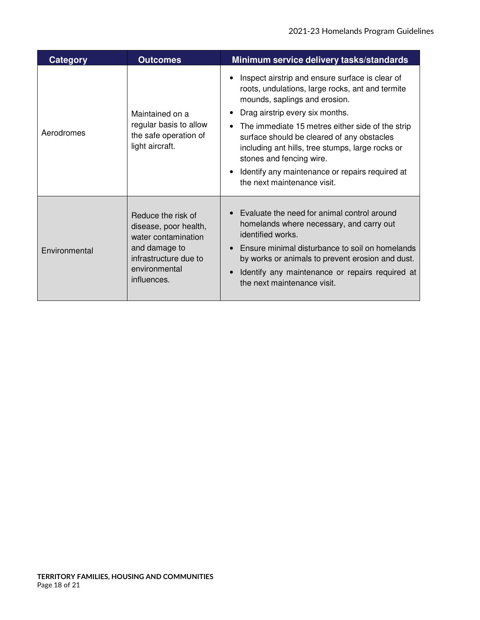| Category      | <b>Outcomes</b>                                                                                                                              | Minimum service delivery tasks/standards                                                                                                                                                                                                                                                                                                                                                                                                    |
|---------------|----------------------------------------------------------------------------------------------------------------------------------------------|---------------------------------------------------------------------------------------------------------------------------------------------------------------------------------------------------------------------------------------------------------------------------------------------------------------------------------------------------------------------------------------------------------------------------------------------|
| Aerodromes    | Maintained on a<br>regular basis to allow<br>the safe operation of<br>light aircraft.                                                        | Inspect airstrip and ensure surface is clear of<br>roots, undulations, large rocks, ant and termite<br>mounds, saplings and erosion.<br>Drag airstrip every six months.<br>The immediate 15 metres either side of the strip<br>surface should be cleared of any obstacles<br>including ant hills, tree stumps, large rocks or<br>stones and fencing wire.<br>Identify any maintenance or repairs required at<br>the next maintenance visit. |
| Environmental | Reduce the risk of<br>disease, poor health,<br>water contamination<br>and damage to<br>infrastructure due to<br>environmental<br>influences. | Evaluate the need for animal control around<br>homelands where necessary, and carry out<br>identified works.<br>Ensure minimal disturbance to soil on homelands<br>by works or animals to prevent erosion and dust.<br>Identify any maintenance or repairs required at<br>the next maintenance visit.                                                                                                                                       |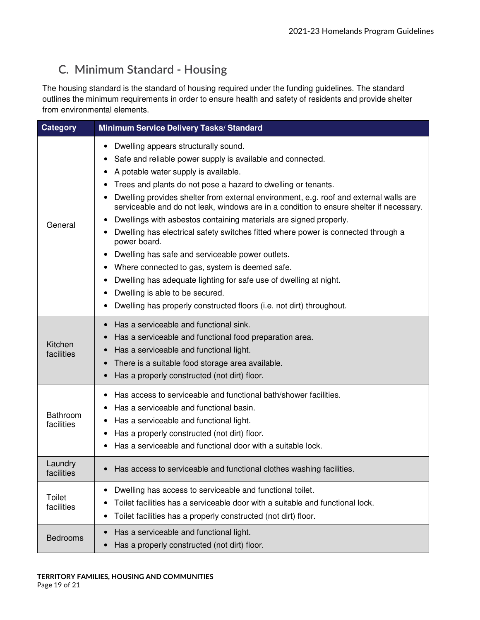## **C. Minimum Standard - Housing**

The housing standard is the standard of housing required under the funding guidelines. The standard outlines the minimum requirements in order to ensure health and safety of residents and provide shelter from environmental elements.

| <b>Category</b>        | <b>Minimum Service Delivery Tasks/ Standard</b>                                                                                                                                                                                                                                                                                                                                                                                                                                                                                                                                                                                                                                                                                                                                                                                                                                   |
|------------------------|-----------------------------------------------------------------------------------------------------------------------------------------------------------------------------------------------------------------------------------------------------------------------------------------------------------------------------------------------------------------------------------------------------------------------------------------------------------------------------------------------------------------------------------------------------------------------------------------------------------------------------------------------------------------------------------------------------------------------------------------------------------------------------------------------------------------------------------------------------------------------------------|
| General                | Dwelling appears structurally sound.<br>Safe and reliable power supply is available and connected.<br>A potable water supply is available.<br>$\bullet$<br>Trees and plants do not pose a hazard to dwelling or tenants.<br>Dwelling provides shelter from external environment, e.g. roof and external walls are<br>serviceable and do not leak, windows are in a condition to ensure shelter if necessary.<br>Dwellings with asbestos containing materials are signed properly.<br>Dwelling has electrical safety switches fitted where power is connected through a<br>power board.<br>Dwelling has safe and serviceable power outlets.<br>Where connected to gas, system is deemed safe.<br>Dwelling has adequate lighting for safe use of dwelling at night.<br>٠<br>Dwelling is able to be secured.<br>Dwelling has properly constructed floors (i.e. not dirt) throughout. |
| Kitchen<br>facilities  | Has a serviceable and functional sink.<br>Has a serviceable and functional food preparation area.<br>Has a serviceable and functional light.<br>There is a suitable food storage area available.<br>Has a properly constructed (not dirt) floor.                                                                                                                                                                                                                                                                                                                                                                                                                                                                                                                                                                                                                                  |
| Bathroom<br>facilities | Has access to serviceable and functional bath/shower facilities.<br>Has a serviceable and functional basin.<br>Has a serviceable and functional light.<br>Has a properly constructed (not dirt) floor.<br>Has a serviceable and functional door with a suitable lock.                                                                                                                                                                                                                                                                                                                                                                                                                                                                                                                                                                                                             |
| Laundry<br>facilities  | Has access to serviceable and functional clothes washing facilities.                                                                                                                                                                                                                                                                                                                                                                                                                                                                                                                                                                                                                                                                                                                                                                                                              |
| Toilet<br>facilities   | Dwelling has access to serviceable and functional toilet.<br>Toilet facilities has a serviceable door with a suitable and functional lock.<br>Toilet facilities has a properly constructed (not dirt) floor.<br>٠                                                                                                                                                                                                                                                                                                                                                                                                                                                                                                                                                                                                                                                                 |
| <b>Bedrooms</b>        | Has a serviceable and functional light.<br>Has a properly constructed (not dirt) floor.                                                                                                                                                                                                                                                                                                                                                                                                                                                                                                                                                                                                                                                                                                                                                                                           |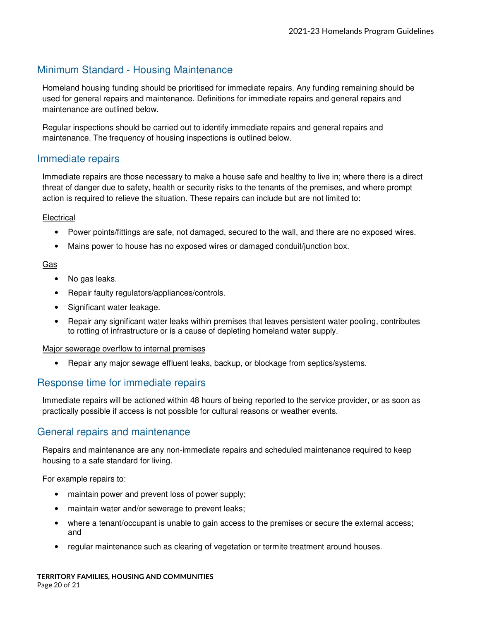### Minimum Standard - Housing Maintenance

Homeland housing funding should be prioritised for immediate repairs. Any funding remaining should be used for general repairs and maintenance. Definitions for immediate repairs and general repairs and maintenance are outlined below.

Regular inspections should be carried out to identify immediate repairs and general repairs and maintenance. The frequency of housing inspections is outlined below.

### Immediate repairs

Immediate repairs are those necessary to make a house safe and healthy to live in; where there is a direct threat of danger due to safety, health or security risks to the tenants of the premises, and where prompt action is required to relieve the situation. These repairs can include but are not limited to:

### Electrical

- Power points/fittings are safe, not damaged, secured to the wall, and there are no exposed wires.
- Mains power to house has no exposed wires or damaged conduit/junction box.

### Gas

- No gas leaks.
- Repair faulty regulators/appliances/controls.
- Significant water leakage.
- Repair any significant water leaks within premises that leaves persistent water pooling, contributes to rotting of infrastructure or is a cause of depleting homeland water supply.

#### Major sewerage overflow to internal premises

• Repair any major sewage effluent leaks, backup, or blockage from septics/systems.

### Response time for immediate repairs

Immediate repairs will be actioned within 48 hours of being reported to the service provider, or as soon as practically possible if access is not possible for cultural reasons or weather events.

### General repairs and maintenance

Repairs and maintenance are any non-immediate repairs and scheduled maintenance required to keep housing to a safe standard for living.

For example repairs to:

- maintain power and prevent loss of power supply;
- maintain water and/or sewerage to prevent leaks;
- where a tenant/occupant is unable to gain access to the premises or secure the external access; and
- regular maintenance such as clearing of vegetation or termite treatment around houses.